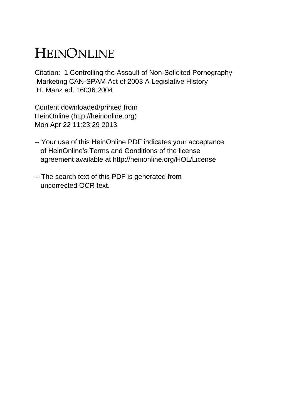# HEINONLINE

Citation: 1 Controlling the Assault of Non-Solicited Pornography Marketing CAN-SPAM Act of 2003 A Legislative History H. Manz ed. 16036 2004

Content downloaded/printed from HeinOnline (http://heinonline.org) Mon Apr 22 11:23:29 2013

- -- Your use of this HeinOnline PDF indicates your acceptance of HeinOnline's Terms and Conditions of the license agreement available at http://heinonline.org/HOL/License
- -- The search text of this PDF is generated from uncorrected OCR text.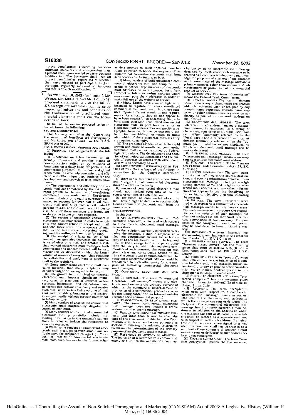project beneficiaries concerning cost-containment measures and construction man-<br>agement techniques needed to carry out such modification. The Secretary shall keep all<br>project beneficiaries, regardless of whether project behaviouries, regarding they have elected to participate in joint<br>oversight, regularly informed of the costs<br>and status of such modification.'"

٢ **SA 2219. Mr. BURNS (for himself, Mr. WYDEN, Mr. MCCAIN, and Mr. HOLLINGS)** proposed an amendment to the bill S.<br>877, to regulate interstate commerce by imposing limitations and penalties on the transmission of unsolicited com- mercial electronic mail via the Internet; as follows:

In lieu of the matter proposed to be inserted, insert the following:<br>SECTION 1, SHORT TITLE,

**SECTION 1. SHORT TITLE.**<br>This Act may be cited as the "Controlling<br>the Assault of Non-Solicited Pornography<br>and Marketing Act of 2003", or the <sup>\*</sup>CAN-<br>SPAM Act of 2003".

**SEC.** 2. **CONGRESSIONAL FINDINGS AND POLICY.** (a) **FINDINGS.-** The Congress finds the **fol**

wing:<br>(1) Electronic mail has become an ex-Vietnament and popular means of<br>terms of the construction, relied on by millions of<br>Americans on a daily basis for personal and<br>commercial purposes. Its low cost and global<br>reach make it extremely convenient and efficient,

(2) The convenience and efficiency of elec-<br>(2) The convenience and efficiency of elec-<br>rapid growth in the volume of unsolicited<br>commercial electronic mail! Chronic commercial electronic mail is currently set-<br>mated to a

mail to the reciplent.<br>
(5) Some commercial electronic mail con-<br>
tains material that many recipients may<br>
consider vulgar or pornographic in nature.<br>
(6) The growth in unsollcited commercial<br>
electronic mail imposes signi

senders provide no such "opt-out" mecha.<br>
namen, or refuse to honor the requests of re-<br>
nism, or the feature, or being complement continues cliptents not to receive electronic mail from<br>
such sends in the future, or both

are required to compute<br>
(2) The problems associated with the rapid<br>
growth and abuse of unsulcited commercial<br>
electronic mail cannot be solved by Federal<br>
legislation alone. The development and adoption<br>
tion of technolo

**(b) CONGRESSIONAL DETERMINATION** OF **PUB- LIC** POLICY.- On the basis of the findings in subsection (a), the Congress determines that-

**(1)** there **is** a substantial government Inter- **est** in regulation of commercial electronic mail **on** a nationwide basis:

(2) senders of commercial electronic mail<br>should not mislead recipients as to the<br>source or content of such mail; and

**(3)** recipients of commercial electronic mail have a right **to** decline to receive addi- tional commercial electronic mall from the same source. **SEC. 3. DEFINITIONS.**

### In this Act:

In this Acc:<br>
(I) AFFIRMATIVE CONSENT.- The term **"af-**<br>
firmative consent", when used with respect<br>
to a commercial electronic mail message,<br>
means that-<br>
(A) the recipient expressly consented to re-

(by the technical terressially consented to re-<br>ceive the message, either in response to a clear and conspicuous request for such con-<br>sent or at the recipient's own initiative; and<br>(B) if the message is from a party othe

Frose of minimessages.<br>
(2) COMMERCIAL ELECTRONIC MAIL MES-<br>
SAGE.-<br> **SAGE.**<br> **(A)** IN GENERAL. The term "commercial

Voy an determine main message "means any electronic main message" means any electronic main message the primary purpose of<br>which is the commercial product or serve<br>the promotion of a commercial purpose.<br>The field (includin

electronic mail purposefully disguise the mail message" does not include a trans-<br>electronic mail message" does not include a trans-<br>source of such approaching the mail message" does not include a trans-<br> $(8)$  Many sender sues or the eigenstate to this statement of the com-<br>mission shall issue regulations pursuant to<br>section 13 defining the relevant criteria to<br>facilitate the determination of the primary<br>purpose of an electronic mail messag

ATE *November 25,* 2003 can encry in an execution clear threasure and measure treated as a commercial electronic mail measure sage for purposes of this Act if the contents of clear stage in discussion primary purpose of the measure primary purpos

(9) LEGTRONIC MAIL ADDRESS. The term<br>
"electronic mail address" means a destina-<br>
tion, commonly expressed as a string of<br>
commonly expressed as a string of<br>
commonly referred to as the "origon"<br>
or millions (commonly ref

er information" means the source, destina-<br>tion, and routing information attached to an<br>electronic mail message, including the originality densities<br>deteroing domain name and originating electronic mail address, and any ot

used with respect to a commercial electronic<br>mail message. means to originate or transmit<br>mit such message or to procure the origina-<br>tion or transmission of such message. but<br>shifl not include actions that constitute rou-

(10) INTERNET. The term internet that<br>the meaning given that term in the Internet<br>Tax Freedom Act (47 U.S.C., 151 nt).<br>The term internet access service: The term<br>"Internet access service" has the meaning<br>given that term i 1(e)(4) of the Communications Act **of** 1934 (47 **.S.C,** *23)(e)(4))*

used with respect to the initiation of a commercial electronic mail measuge, means in-<br>tentionally to pay or provide other consider-<br>tentionally to pay or provide other consider-<br>tiate such a message on one's behalf.<br>(13)

that term in section 1030(e)(2)(B) of title 18,<br>
United States Code.<br>
(14) RECIPIENT.- The term "reclplent",<br>
when used with respect to a commercial<br>
electronic mail message, means an author-<br>
ized user of the electronic m Because of the message was sent or delivered. If a vertical interval in the message was sent or delivered. If a message was sent or delivered in addresses in addition to the anderses to which the message was sent or delive message sent or delivered to that address be-<br>recipient of any commercial electronic mail<br>message sent or delivered to that address be-<br>fore it was reassigned.<br>(15) ROUTINE CONVEYANCE.- The term "rou-<br>tine conveyance" mean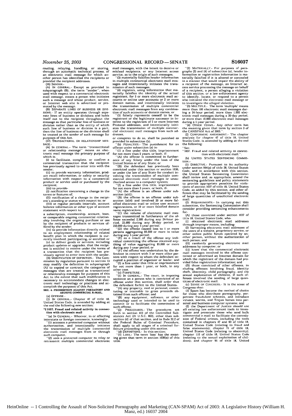routing, relaying, handling. or storing, through an automatic technical process. of an electronic mail message for which an-other person has identified the recipients or provided the recipient addresses.<br>(16) SENDER-

**(16) SENDER.** (A) **IN GENERAL.-** Except as provided in subparagraph (B). the term "sender". when used with respect to a commercial electronic mail message. means a person who initiates such a message and whose product, service, or Internet web site is advertised or pro-

mated by the message.<br>motel by the message.<br>(B) SEPARATE LINES OF BUSINESS OR DIVI-<br>SIONS.- If an entity operates through sepa-SoONS.- If an entity operates through separate lines of business or divisions and holds itself **out** to the recipient throughout the message as that particular line of business or division rather than as the entity of which such line of business or division is a part, then the line of business or the division shall **be** treated as the sender of such message for purposes **of** this Act.

**(17) TRANSAcIONAL OR RELATIONSHIIP MES- SAGE.-**

(A) **IN** GENRAL.- The term "transactional or relationship message" means an elec-tronic mail message the primary purpose of which is- (i) **to** facilitate. complete. or confirm a

commercial transaction that tine recipient has previously agreed to enter into with the sen

IIII), is provide warranty information, product recall information, or safety or security iaformation with respect to a commercial product or service used or purchased **by** the recipient:

(iii) to provide-<br>(1) notification concerning a change in the terms or features of; (Il) notification of a change in the recipi-

ent's standing or status with respect to; or **(111)** an regular periodic Intervals, account **balance** information or other type of account

statement with respect **to.** a subscription. menibership, account, loan,

**or** comparable ongoing commercial relation ship involving the ongoing purchase or **use by** the recipient of products or services **of-**

**fered by the sender:**<br>(iv) to provide information directly related<br>to an employment relationship or related to an employment relationship or related benefit plan In which the recipient is cur-

rently involved, participating, or enrolled: or<br>
(v) to deliver goods or services, including<br>
product updates or upgrades, that the recipi-<br>
ent is entitled to receive under the terms of a transaction that the recipient has pre-

viously agreed to enter Into with the sender. (B) **MODIFICATION** OF DEFINITION.- The **Com**mission **by** regulation pursuant **to** section 13 may modify the definition In subparagraph (A) to expand or contract the categories of messages that are treated as transactional or relationship messages for purposes of this Act to the extent that such modification is necessary to accommodate changes *In* elec-tronic mail technology or practices and ac-complish the purposes of this Act.

## **SEC. 4. PROIIBITION AGAINST PREDATORY AND AnUSWE** COMMOEEtAOL **R-MAAL.** (a) **OFFENSE.**

**(1)** IN GENERAL.- Chapter 47 of title **18** United States Code. is amended **by** adding at the end the following new section:

**"§1087. Fraud** and related ativity in nenention with electronic mail

'(a) **IN GENERAL.-** Whoever, in or affecting

interstate or foreign commerce, knowingly-accesses a protected computer without authorization, and intentionally initiates the transmission of multiple commercial electronic mail messages from or through

such computer, "(2) uses a protected computer to relay or retransmit multiple commercial electronic

mail messages, with the intent to deceive or

mislead recipients, or any Internet access<br>service, as to the origin of such messages.<br>"(3) materially falsifies header information<br>in multiple commercial electronic mail messages and Intentionally initiates the trans-

mission of such messages. '(4) registers, using information that ma terially falsifies the identity of the actual registrant, for **5** or more electronic mail accounts or online user accounts or 2 or more domain names, and intentionally initiates the transmission of multiple commercial

electronic mail messages from any combina-tion of such accounts or domain names, or "(5) falsely represents oneself to be the registrant or **the** legitimate successor in Interest to the registrant of **5** or more Internet Protocol addresses. and intentionaly **initi-**ates the transmission of multiple commercial electronic mail messages from such ad-

dresses,<br>*or* conspires to do so, shall be punished as<br>provided in subsection (b).<br><sup>-(</sup>(b) PENALTIES.- The punishment for an<br>offense under subsection (a) is-

**'(1)** a fine under this title. imprisomnent

*for* not more than **5** years, or both. if- '(A) the offense is committed in further,

ance of any felony under the laws of the United States or of any State; or "(B) the defendant has previously been convicted under this section or section **1030.** or under the law of any State for conduct in-volving the transmission of mulciple **com-**mercial electronic mall messages or unau thorized access to a computer system;<br>"(2) a fine under this title, imprisonment"

"(2) a fine under this title. imprisonment for not more than 3 years. or both. **if-** "(A) the offense is an offense under sub-

section (a)(1); '(B) the offense is an offense under sub- section (a)(4) and involved 20 or more falsified electronic mail or online user account registrations, or **10** or more falsified domain

...<br>name registrations;<br>- ''(C) the volume of electronic mail messages transmitted in furtherance of the of-<br>fense exceeded 2.500 during any 24-hour pe-<br>riod. 25.000 during any 30-day period, or<br>250,000 during any lyear period;<br>"(D) the offense caused loss to 1 or more<br>persons aggregati

during any I-year period:<br>"(E) as a result of the offense any indi-

"(E) as a result of the offense any individual committing the offense obtained any-<br>thing of value aggregating \$5,000 or more<br>thing any 1-year period; or<br>during any 1-year period; or<br>"(F) the offense was undertaken by the

fendant **in** concert with 3 or more other per-sons with respect to whom the defendant occupied a position of organizer *or* leader: and **'(3)** a fine under this title or imprisonment

for not more than 1 year, or both, in any other case.

other case.<br>
"(c) FORFEITURE.<br>
"(I) IN CENERAL.- The court, in imposing<br>
sentence on a person who is convicted of an<br>
offense under this section, shall order that the defendant forfeit to the United States-

"(A) any property. real or personal. consti-tuting or traceable to gross proceeds ob-tained from such offense: and

'(B) any equipment, software, or other technology used or intended to **be** used to commit **or** to facilitate the commission of such offense.

"(2) PROCEDURES. The procedures set<br>forth in section 413 of the Controlled Sub-<br>stances Act (21 U.S.C. 853), other than sub-<br>section (d) of that section, and in Rule 32.2 of<br>the Federal Rules of Criminal Procedure, shall apply to **all** stages of a crimlnal for-feiture proceeding under this section. **"(d) DEFINITIONS.- I** this section; "(I) Loss.- The term 'loss' has the mean-

ing given that term in section 1030(e) of this title.

"(2) MATERIALLY.- For purposes of paragraphs **(3)** and (4) oFsbection (a), header information or registration information is maintained<br>formation or registration information is mainlead in a manner that would impair the ability of<br>a recipient of the message, an Internet ac-<br>cess service processing the mes to identify, locate. or respond to a person who initiated the electronic mail message or to investigate the alleged violation. "(3) **MULTIPLE.-** The term 'multiple' means

more than **100** electronic mail messages dur-ing a 24-hour period, more than **1,000** electronic mail messages during a 30-day period. or more than 10,000 electronic mail messages

during a 1-year period.<br>
"(4) OTHER TERNS.- Any other term has<br>
the meaning given that term by section 3 of<br>
the CANSPAM Act of 2003."<br>
(2) CONFORMING AMENDMENT.- The chapter<br>
analysis for chapter 47 of title 18, United

States Code, is amended **by** adding at the end

the following:

'Sec. **"1037** Fraud and related activity in connec-tion with electronic mall.'.

**(b)** UNITED STATES **SENTENCING COMMIS-SION.- (1)** DIRECTIVE.- Pursuant to its authority

under section **994 (p)** of title **28,** United States **Code, and** in asnardance with this section, the United States Sentencing Commission<br>shall review and. as appropriate, amend the<br>sentencing guidelines and policy statements to provide appropriate penalties for viola-tions of section **1037** of title **18,** United States **Code,** as added **by** this section, and other of-fenses that may be facilitated **by** the sending of large quantities of unsolicited electronic

mail<br>(2) (2) REQIREMENTS.- In carrying **out** this subsection, the Sentencing Commission shall consider providing sentencing enhancements far-

**(A)** those convicted under section **1037** of title **18.** United States Code, who- (i) obtained electronic mail addresses

through improper means, including<br>
(I) harvesting electronic mall addresses of<br>
the users of a website, proprietary service, or<br>
other online public forum operated by an-<br>
other person, without the authorization of<br>
such p

(II) randomly generating electronic mail

addresses by computer; or<br>(ii) knew that the commercial electronic<br>mail messages involved in the offense contained or advertised an Internet domain for which the registrant of the domain had pro-vided false registration information: and

(B) those convicted of other offenses, in eluding offenses involving fraud, identity theft, obscenity, child pornography, and the Sexual exploitation of children. if such of-fenses involved the sending of large quan-

tities of electronic mail. (c) SENSE OF **CONGRESS.-** It is the Sense of Congress that-

**(II** Spam has become the method of choice **for** those who distribute pornography, per-petrate fraudulent schemes, and introduce viruses, worms, and Trojan horses into per-

sonal and business computer systems: and<br>
(2) the Department of Justice should use<br>
all existing law enforcement tools to Investigate and prosecute those who send bulk commercial e mail to facilitate the comnission of Federal crimes, including the tools contained in chapters 47 and **g3** of title **18.** Contained in capture of the United States Code (relating to fraud and<br>United States Rode (relating to fraud and<br>United States Code (relating to obscenity);<br>chapter 110 of title 18. United States Code<br>(relating to the sexua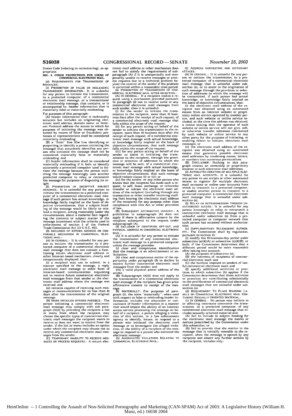States Code (relating to racketeering), as **ap-**

propriate. **SEC. 5. OTIHER PROTECTIONS FOR USERS** OF **COMItMERCIAL ELECTRONIC** MAIL. (a) REQUIREMENTS *FOR* TRANSMISSION OF

MESSAGES. **(1)** PROHIBITION OF **FALSE OR** MISLEADING TRANSMISSION INFORMATION.- It is unlawful for any person to initiate the transmission, to a protected computer, of a commercial electronic mail message, or a transactional or relationship message, that contains. or **is** accompanied **by,** header information that is materially false or materially misleading.

For purposes of this paragraph- (A) header information that is technically accurate but includes an originating elec-tronic mail address, domain name, or Inter-net Protocol address the access to which for purposes **of** initiating the message was **ob-**rained **by** means of false or fraudulent pre-tenses or representations shall **he** considered

materially misleading;<br>(B) a "from" line (the line identifying or<br>purporting to identify a person initiating the<br>message) that accurately identifies any per*son* who initiated the message shall not be considered materially false

misleading; and<br>(C) header information shall be considered materially misleading if it fails to identify accurately a protected computer used to Inl-tiate the message because the person initiating the message knowingly uses another protected computer to relay or retransmit **the message for purposes of disguising its or- igin.** 

**HEADINGS.-** It is unlawful for any person to initiate the transmission to a protected com puter of a commercial electronic mail mes-sage if such person has actual knowledge. or knowledge fairly implied on the basis of ob-<br>lective circumstances, that a subject head-<br>ing of the message would be likely to mis-<br>lead a recipient, acting reasonably under the<br>circumstances, about a material fact regarding the contents or subject matter of the<br>message (consistent with the criteria used in enforcement of section 5 of the Federal Trade Commission Act **(15** U.SC. 45)). (3) INCLUSION OF RETURN **ADDRESS** OR **COM-**

PARABLE MECHANISM IN COMMERCIAL **ELEC-**

TRONIC MAIL- (A) IN GENERAL.- It **is** unlawful for any per**son** to initiate the transmission to a protected computer of a commercial electronic mail message that does not contain a functioning return electronic mail address or other Internet-based mechanism, clearly and

conspicuously displayed, that.<br>
(i) a recipient may use to submit, in a<br>
manner specified in the message, a reply<br>
electronic mail message or other form of<br>
Internet-based communication requesting<br>
ont to receive future co mail messages from that sender at tise elec-tronic mail address where the message was received: and

(ii) remains capable of receiving such messages or communications for no less than **3I** days after the transmission of the original message.

**(B) MOE DETAILED** OPTIONS POSSIBLE.- The person initiating a commercial electronic mail message may comply with sub para graph (A(i) by providing the recipient a list or menu from which the recipient may choose the specific types of comsercial elec-tronic mail messages the recipient wants to receive or does not want to receive from the receive or does not want to receive from the<br>sender, if the list or menu Includes an option<br>under which the recipient may choose not to receive any commercial electronic mail messages from the sender.

(C) TEMPORARY INABILITY TO RECEIVE MES-**SAGES** OR **PROCESS REQUESTS.-** A return elec-

tronic mail address or other mechanism does not fail to satisfy the requirements of sub-paragraph (A) if it is unexpectedly and tein-porarily unable to receive messages or proc-ess requests due to a technical problem **be-**

syond the control of the sender if the problem<br>is corrected within a reasonable time period.<br>(4) PROHIBITION OF TRANSMISSION OF COM-<br>MERCIAL ELECTRONIC MAIL AFTER OBJECTION-<br>(A) IN CENERAL. If a reciplent makes a re-<br>quest

ness days after the receipt of such request, of<br>a commercial electronic mail message that<br>falls within the scope of the request;<br>(ii) for any person acting on behalf of the<br>sender to initiate the transmission to the re-

cipient, more than **10** business days after the receipt of such request. of a commercial electronic mail message with actual knowledge.<br>
or knowledge fairly implied on the basis of<br>
objective circumstances, that such message<br>
falls within the scope of the request;<br>
(iii) for any person acting on behalf of the<br>
een

mission to the recipient, through the provi sion or selection of addresses to which the message will be sent, of a commercial **elec**tronic mail message with actual knowledge, or knowledge fairly Implied on the basis **of** objective circumstances, that such message

would violate clause **(i)** or (ii); or<br>(iv) for the sender, or any other person who<br>knows that the recipient has made such a re-<br>quest. to sell, lease. exchange, or otherwise<br>transfer or release the electronic mail address of the recipient (including through any<br>transaction or other transfer involving mail-<br>ing lists bearing the electronic mail address<br>of the recipient) for any purpose other than<br>compliance with this Act or other provi *of* law. (B) **SUBSEQUENT** AFFIRMATIVE **CONSENT,-** A

prohibition In subparagraph **(A)** does not apply if **there** is affirmative consent by the recipient subsequent to the request under

subparagraph (A).<br>(5) **INCLUSION OF IDENTIFIER, OPT-OUT, AND** PHYSICAL ADDRESS **IN** COMMERCIAL ELECTRONIC

MAIL - (A) It is unlawful for any person to initiate the transmission of any commercial electronic mall message to a protected computer unless the message provides- (i clear and conspicuous identification that the message is an advertisement or so-

licitation;<br>(ii) clear and conspicuous notice of the op-

portunity under paragraph **(3)** to decline to<br>receive further commercial electronic mail<br>messages from the sender; and<br>(ili) a valid physical postal address of the<br>(B) Subparagraph **(A)(i)** does not apply to<br>(B) Subparagra

the transmission of a commercial electronic mail message if the recipient has given prior affirmative consent to receipt of the mes-

sape.<br>sage. graph **(1),** the term "materially", when used with respect to false or misleading header in-<br>formation, includes the alteration or con-<br>cealment of header information in a manner that would impair the ability of an Internet ences service processing the message on be-<br>access service processing the message on be-<br>helion of this section, or a law enforcement<br>tion of this section, or a law enforcement<br>person- who initiated the electronic mail message or to investigate the alleged viola-tion. or the ability of a recipient of the message to respond to a person who initiated the

electronic message. (b) AGGRAVATED **VIOLATIONS RELATING** TO COMMERCIAL ELECTRONIC MAIL.

**(1)** ADDRESS HARVESTING AND DICTIONARY **ATTACKS.-**

**(A) IN GENERAL.-** It is unlawful for any person to initiate **the** transmission, to a pro-tected computer, of a commercial electronic mail message that is unlawful under sub-<br>section (a), or to assist in the origination of<br>such message through the provision or selection of addresses to which the message will<br>be transmitted, if such person had actual<br>know

cipient was obtained using an automated means from an Internet website or propri-etary online service operated by another person, and such webslite or online service **in-**cluded, at the time the address was obtained. a notice stating that the operator of such website or online service will not give. sell. or otherwise transfer addresses maintained **by** such website or online service to any other party for the purposes of initiating, or enabling others **to** initiate, electronic mail messages; or<br>(ii) the electronic mail address of the re-

(ii) the electronic mail address of the re-<br>cipient was obtained using an automated mail addresses by combining names, letters<br>means that generates possible electronic<br>or numbers into numerous permutations.<br>(B) DISCLAIMER

means to register for multiple electronic<br>mail accounts or online user accounts from which to transmit to a protected computer, or enable another person to transmit to a protected computer, a commercial electronic mail message that is unlawful under sub-**Section (a). (3) RELAY OR RETRANSMISSION THROUGH UN-**

AUTIORIZED **ACCESS.-** It is unlawful for any person knowingly to relay or retransmit a commercial electronic mail message that is unlawful under subsection (a) from a pro-tected computer or computer network that such person has accessed without authorization

**(C) SUPPLEMENTARY RULEMAKING** AUTHOR- The Commission shall by regulation, pursuant to section **13-**

(1) modify the 10-business-day period under subsection (a)(4)(A) or subsection (a)(4)(B), or both, if the Commission determines that a different period would be more reasonable<br>after taking into account-<br>(A) the purposes of subsection (a);<br>(B) the interests of recipients of commer-

cial electronic mail; and

**ful commercial electronic mail; and ful commercial electronic mail; and (2)** specify additional activities or prac-<br>(2) specify additional activities or prac-<br>tices to which subsection (b) applies If the<br>Commission determ or practices are contributing substantially to the proliferation of commercial electronic to the proliferation of commercial electronic<br>mail messages that are unlawful under subsection (a).

**(d)** REQUIREMENT To **PLACE WARNING LA-BELS ON** COMMERCIAL **ELECTRONIC** MAIL **CON-TAINING SEXUALiY** ORIENTED MATERIAL,.

(I) IN **GENERAL.-** No person may Initiate in or affecting interstate commerce the trans-mission, **to** a protected computer, of any commercial electronic mail message that in-

cludes sexually oriented material and- **(A)** fail to include in subject heading for the electronic mail message the marks or notices prescribed by the Commission under

this subsection; or<br>
(B) fail to provide that the matter in the<br>message that is initially viewable to the remessage unto the message is opened by any<br>cipient, when the message is opened by any<br>recipient, and absent any further actions by<br>the recipient, includes only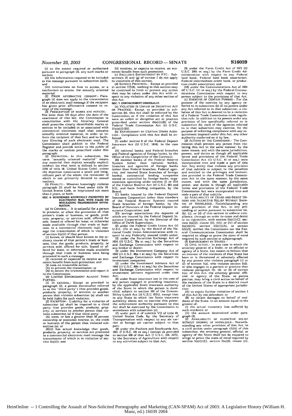(i) to the extent required **or** authorized

pursuant **to** paragraph (2), any such marks or notices. iI) the information required **to be** Included im the message pursuant to subsection (a)(5);

and **(III)** instructions **on** how to access, or a mechanism to access, the sexually oriented material.<br>(2) PR

**(2)** PRIOR AFFIRMATIVE **CONSENT.-** Para**graph (I)** does not apply to the transmission of an electronic mail message **If** the recipient has given prior affirmative consent to **re-** ceit **of** the message. ceipt of the message.<br>(3) PRESCRIPTION OF MARKS AND NOTICES.

Not later than **120** days after the date of the enactment **of** this bet, the Commission in consultation with the Attorney General shall prescribe clearly Identifiable marks or notices to be **included** in **or** associated with commercial electronic mail that contains sexually oriented material, in order to inform the recipient of that fact and to facilitation<br>tate filtering of such electronic mail. The<br>Commission shall publish in the Federal<br>Register and provide notice to the public of

paragraph. **(C) DEFINITION.-** In this subsection, the term "sexually oriented material" means<br>any material that depicts sexually explicit conduct (as that term is defined in Section 2256 of title 18, United States Code), unless<br>the depiction constitutes a small and insig-<br>nificant part of the whole, the remainder of<br>which is not primarily devoted to sexual

matters. **(5) PENALTY.-** Whoever knowingly violates paragraph **(1)** shall be fined under title **18,** United States Code, or imprisoned not more

# than 5 years, or both.<br>SEC. 6. BUSINESSES KNOWINGLY PROMOTED BY<br>**ELECTRONIC MAIL WITH FALSE OR<br>MISLEADING TRANSMISSION INFOR-<br>MATION.**

**(a)** IN GENERAt, It is unlawful for a person **to** promote, or allow the promotion of. that persons trade or business, or goods. prod-ucts, property, or services sold, offered for sale, leased or offered for lease, or otherwise made available through that trade or business, in a commercial electronic mail message **ithe** transmission of which in violation of section 5(a)fi) If that person- **(1)** knows, or should have known in the **or-**dinary course **of** that person's trade or busi-

ness. that the goods, products. property, or services **sold,** offered for sale, leased or of-lered for lease. or otherwise made available through that trade or business were being

promoted in such a message;<br>(2) received or expected to receive an eco-<br>nomic benefit from such promotion; and<br>(3) took no reasonable action-<br>(A) to prevent the transmission; or<br>(B) to detect the transmission and report it **(b)** LIMITED **ENFORCEMENT** AGAINST TiIIRD

**PARTIES.- (1)** IN **GENERAL.-** Except as provided in

paragraph (2), a person (hereinafter referred<br>to as the "third party") that provides goods,<br>products, property, or services to another<br>person that violates subsection (a) shall not<br>be held llable for such violation.<br>(2) Ex

(a) Exercise is all be imputed to a third<br>party that provides goods, products, property, or services to another person that<br>vie-<br>lates subsection (a) if that third party-<br>(A) owns, or has a greater than 50 percent<br>ownershi

or business of the person that violated sub-

section (a): or (B)(I) has actual knowledge that goods, products, property. or services are promoted in a commercial electronic mall message the transmission of which Is in violation of section  $5(a)(l)$ ; and

(ii) receives, or expects to receive, an ecu

nomic benefit from such promotion.<br>
(c) EXCLUSIVE ENFORCEMENT BY FTC.- Sub-<br>sections (f) and (g) of section 7 do not apply<br>to violations of this section.

**(d)** SAVINGS PROVISION.- Except as provided in section **7(f)(8),** nothing In this section may be construed to limit **or** prevent any action that may be taken under this Act with **re**spect to any violation of any other section of this Act.

## **SEC. 7. ENFORCEMENT GENERALLY.**<br>(a) VIOLATION IS UNFAIR OR DECEPTIVE ACT

(a) VIOLATION **IS** UNFAIR *OR* DECEPTIVE ACT *OR* PRACTICE.- Except as provided in sub-section **(b),** this Act shall **be** enforced by the Commission as if the violation of this Act were an unfair or deceptive act or practice proscribed under section 18(a)()(B) **of** the Federal Trade Commission Act **(15** U.SC, **7.a) (1)** (B)).

**fb) ENFORCEMENT** BY **CERTAIN** OTHER **AGEN-**CiES.- Compliance with this Act shall **be** enforced-

**(I)** under section 8 of the Federal Deposit Insurance Act fi2 **U.S.C. 1818),** in the case **of-**

**(A)** national banks, and Federal branches and Federal agencies of foreign banks, by the Office of the Comptroller **of** the Currency; (B) member banks of the Federal Reserve

System (other than national banks). branches **and** agencies of foreign banks (other than Federal branches, Federal agencies, and insured State branches **of** foreign banks), commercial lending companies owned or controlled by foreign banks. orga-nizations operating under section 25 or **25A** of the Federal Reserve Act (12 U.S.C. **61** and **611).** and hank holding companies, by the

**Board;**<br>(C) banks insured by the Federal Deposit<br>Insurance Corporation (other than members of the Federal Reserve System) insured State branches of foreign banks, **by** the Board of Directors of the Federal Deposit Insurance Corporation; and

**(D)** savings associations the deposits of which are insured by the Federal Deposit In-surance Corporation, by the Director of the

Office of Thrift Supervision;<br>
(2) under the Federal Credit Union Act (12<br>
U,S,C, 1751 et seq.) by the Board of the Na-<br>tional Credit Union Administration with re-

spect to any Federally insured credit union:<br>
(3) under the Securities Exchange Act of<br>
1934 (15 U.S.C. 78a et seq.) by the Securities<br>
and Exchange Commission with respect to<br>
(4) under the Investment Company Act of<br>
(194

and Exchange Commission with respect to investment companies;<br>
(5) under the Investment Advisers Act of

**(5)** under the Investment Advisers Act of <sup>1940</sup>**(15 U.S.C. 80b- I** ct seq.) **by** the Securities and Exchange Commission with respect to investment advisers registered under that

Act: **(6)** under State insurance law in the case **of** any person engaged in providing insurance, by the applicable State insurance authority<br>of the State in which the person is domi-<br>ciled, subject to section **104** of the Gramm-<br>Bliley-Leach Act (15 U.S.C. 670C), except that in any State in which the State insurance authority elects not to exercise this power, the enforcement authority pursuant to this Act shall be exercised by the Comimission in

Accordance with subsection (a);<br>
(7) under part A of subtitle VII of title 49,<br>
United States Code, by the Secretary of<br>
Transportation with respect to any air carrier **or** foreign air carrier subject to that

part;<br> **(8)** under the Packers and Stockyards Act.<br> **1921** (7 U.S.C. 181 et seq.) (except as provided<br>
in section 406 of that Act (7 U.S.C. 226, 227)), by the Secretary of Agriculture with respect to any activities subject to that Act;

**(9)** under the Farm Credit Act of **1971 (12** U.S.C. 2001 et seq.) by the Farm Credit Ad-<br>ministration with respect to any Federal<br>land bank, Federal land bank association,<br>Federal intermediate credit bank, or produc-

**tion** credit association; and **(10)** under the Communications Act of 1934 (47 **U.S.C. 151** et seq.) by the Federal Commu-nications Commission with respect to any person subject to the provisions **of** that Act. (c) EXERCISE OF CERTAIN POWERS.- For the purpose of the exercise by any agency re-ferred to in subsection **(b)** of its powers under any Act referred to in that subsection, a vio-lation of this Act is deemed to be a violation any Accreented to in that subsection, a violation<br>lation of this Act is deemed to be a violation<br>of a Federal Trade Commission trade regulation rule. In addition to its powers under any provision of law specifically referred to in subsection **(b),** each of the agencies referred to in that subsection may exercise, for the **purpose of enforcing compliance with any requirement imposed under this Act, any other authority conferred on it by law.<br>authority conferred on it by law.<br>(d) AcTIONS BY THE COMMISSION.- The Com-**

mission shall prevent any person from violating this alarm meaniner, by the same means, and with the same jurisdiction, powers, and avities as to due to term in the same increased commission Act (15 U.S.C. 41 et seq.) were

Commission Act were incorporated into and<br>node a part of that subtitle.<br>(c) <sup>AVAILABILITY OF CEASE-AND-DESIST OR-<br>DERS AND INJUNCTIVE RELIEF WITHOUT SHOW-</sup> **ING** OF KNOWLEDGE.- Notwithstanding any other provision of this Act. in any proceeding or action pursuant to subsection (a),<br>
(b), (c), or (d) of this section to enforce com-<br>
pliance, through an order to cease and desist<br>
or an injunction, with section 5(a)(l)(C), section 5(a)(2), clause (11), (iii), or (iv) of section 5(a)(4)(A), section 5(b)(l)(A), or section 5(b)(l)(A), or section nor the Fed-<br>5(b)(3), neither the Commission nor the Fed-<br>eral Communications Commission shall be

car communication of continuous communication<br>required to aligne or prove the state of mind<br>(f) ENFORCEMENT BY STATES.<br>(f) ENFORCEMENT BY STATES.<br>agency of a State, has reason to believe that<br>attempt general of a State, ha been or Is threatened or adversely affected **by** any person who violates paragraph **(1)** or (2) of section 5(a), who violates section 5(d), wiolates section 6(d), or (s) or (s) or (s) or (s) or (s) or (s) or (s) or (s) or (s) or (s) or (s) or (s) or (s) or (s) or (s) or (s) or (s) or (s) or (s) or (s) or (s) or of the United States of appropriate jurisdic-

tion- **(A)** to enjoin furtser violation of section **5**

of this Act by the defendant; or<br>
(B) to obtain damages on behalf of resi-<br>
dents of the State. In an amount equal to the<br>
oreater of-

greater of-<br>(i) the actual monetary loss suffered by such residents: or

(ii) the amount determined under paragraph **(3).** (2) AVAILABILITY OF **INJUNCTIVE** RELIEF WITHOUT **SHOWING OF KNOWLEDGE.-** Notwith-

standing any sthe provision of this Act, in a civil action under paragraph **CI)(A)** of this subsection, **the** arrorney general, official, or agency of the State shall not be required to allege or prove the state of mind required by<br>section  $5(a)(1)(C)$ , section  $5(a)(2)$ , clause  $(1)$ ,

**S16039**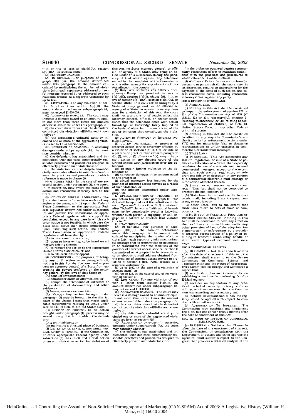**(iii),** or (iv) of section 5(a)(4)(A). section <sup>S</sup>**(b) (1) (A).** or section **5 (b) (3).** (3) STATUTORY **DAMAGES.- (A) IN** GENERAL. For purposes of **para-**graph (1)(B)(ii). the amoune **determined under** this paragraph **Is** the amount cal-culated **by** multiplying the number of eiola-tions (with each separately addressed unlaw-ful message received **by** or addressed to such renidents treated **as** a separate violation) **by**

**up** to **\$250. (B) LIMITATION.-** For **any** violation of section 5 (other than section 5(a)(1)). the<br>amount determined under subparagraph (A)<br>may not exceed \$2,000.000.<br>(C) AGGRAVATED DAMAGES.- The court may

increase a damage award to an amount equal to not more than three times the amount otherwise avaliable under this paragraph **if-** (I) the court determines that the defendant

committed the violation willfully and know-

ingly; or (it) the defendant's unlawful activity in-cluded one or more of the aggravating viola-tions set forth in section **5(b). (D) REDUCTION OF DAMAGES,** In assessing

damages under subparagraph **(A)**, the court<br>may consider whether-<br>(i) the defendant has established and im-

consider whether-<br>the defendant ha defendant has established and implemented. with due care. commercially reasonable practices and procedures designed **to**

effectively prevent such violations; or (ii) the violation occurred despite commer-cially reasonable efforts to maintain compli-

ance the practices and procedures to which<br>reference is made in clause (i).<br>(4) ATTORNEY FEES. In the case of any suc<br>cessful action under paragraph (1), the court,<br>in its discretion, may award the costs of the<br>action and

State. **(5)** RIcHTs or FEDERAL REGULATORS.- The State shall serve prior written notice of any action under paragraph (I) upon the Federal Trade Commission or the appropriate Fed-eral regulator determined under subsection (b) and provide the Commission or appro-<br>priate Federal regulator with a copy of its<br>complaint, except in any case in which such<br>prior notice is not feasible, in which case the<br>State shall serve such notice immediately<br>upo

matters arising therein; (C) to remove the action to the appropriate

United States district court; and<br>
(0) to file petitions for appeal.<br>
(6) Constructions of appeal.<br>
(6) Construction. For purposes of bring-<br>
ing any civil action under paragraph (1),<br>
nothing in this Act shall be construe ercising the powers conferred on the attor-ney general **by** the laws of that State to- **(A)** conduct investigations; (B) administer oaths or affirmations: or

**(C)** compel the attendance **of** witnesses or the production **of** documentary and other

evidence.<br>
(A) VENUE: SERVICE OF PROCESS.<br>
(A) VENUE. Any action brought in the district<br>
court of the United States that meets appli-<br>
court of the United States that meets appli-<br>
cable requirements relating to venue und

(B) **SERVICE OF PCESS.-** In an action brought under paragraph (1), process may be served in any district in which the defendant-<br>- (i) is an inhabitant: or

(i) is an inhabitant: or<br>
(ii) maintains a physical place of business.<br>
(ii) maintains a physical place of business.<br>
ERAL ACTION IS PENDING - If the Commission.<br>
curber of the propriate Federal agency under<br>
subsection (

this Act. no State attorney general, or official or agency of a State, may bring an ac-tion under this subsection during the pendency of that action against ariy defendant named in the complaint **of** the Commission or the other agency for any violation of this Act alleged in the complaint. **(5) REQUISITE SCIENTER FOR CERTAIN** CIVIL

ACTIONS.- Except as provided in section 5(a)(1)(C), section 5(a)(2), clause (ii), (iii), or (iv) of section 5(b)(3). or section 5(b)(3). in a civil action brought by a State attorney general. or an official **or** agency of a State, Lo recover monetary dam-ages for a violation **of** this Act. the court shall not grant the relief sought unless the attorney general, official, or agency estab-lishes that the defendant acted with actual knowledge, or knowledge fairly Implied on the basis of objective circumstances, of the act or omission that constitutes the viola-

tion **(g)** ACTION BY PROVIDER **OF** IN'ERNET Ac-CoSS SERVICE.- **(1)** ACTION AUTHORIZED.- A provider of

Internet access service adversely affected by a violation of section 5(a)(I), **5(b).** or **5(d),** or a pattern or practice that violates paragraph (2), (3), (4). or **(5)** of section 5(a), may bring a civil action in any district court of the United States with Jurisdiction over the **de-**

fendant- (A) to enjoin further violation **by** the **de-**

fendant: or<br>fendant: or<br>(B) to recover damages in an amount equal<br>to the greater ofo the greater of-<br>(i) actual monetary loss incurred by the

provider of Internet access service as a result of such violation; or<br>of such violation; or<br>(ii) the amount determined under para-

graph **(3).** (2) **SPECIAL DEFINITION** OF "PROCURE"- **In**

any action brought under paragraph (1), this<br>Act shall be applied as if the definition of the<br>term "procure" in section 3(12) contained,<br>after "behalf" the words "with actual knowing-<br>edge, or by consclously worlding knowi this Act"<br>(3) STATUTORY DAMAGES.<br>(A) IN GENERAL.- For

(3) STATUTORY **DAMAGES.- (A) IN GENERAL.-** For purposes of para-graph ()(B)(Hii). the amount determined under this paragraph is the amount calculated **by** multiplying the number of viola-tions (with each separately addressed unla ful message that is transmitted or attempted to be transmitted *over* the facilities of the provider of Internet access service, or that is transmitted or attempted to **be** transmitted to an electronic mail address obtained from the provider of Internet access service in violation of section 5 (b)(1)(A)(i). treated as a<br>separate violation) by-<br>(i) up to **\$100**, in the case of a violation of

section  $5(a)(1)$ ; or  $\overline{a}$  is the case of any other viola-<br>(ii) up to \$25, in the case of any other viola-

tion of section 5. (B) **LIMITATION,** For any violation of sec-

tion **5** (other than section 5(a)(l)), the amount determined under subparagraph **(A)** may **not** exceed **\$1.000.000.** (C) AGGRAVATED **DAMAGES.-** The court may

increase a damage award to an amount equal<br>to not more than three times the amount<br>otherwise available under this paragraph if-<br><sup>(i)</sup> the court determines that the defendant

committed the violation willfully and knowingly: or<br>
(ii) the defendant's unlawful activity in-

cluded one or more of the aggravated viola**tions sot** forth in section 5(b).

**(D) REDUCTION OF DAMAGES.** In assessing<br>damages under subparagraph (A), the court<br>may consider whether-<br>(i) the defendant has established and im-

plemented, with due care, commercially reasonable practices and procedures designed **to** effectively prevent such violations; or-

(ii) the violation occurred despite commercially reasonable efforts to maintain compli-<br>ance with the practices and procedures to<br>which reference is made in clause (i).

(4) ATTORNEY FEES- In any action brought pursuant to paragraph (i) the court may, In pursuant to paragraph (i), the court may<br>its discretion. require an undertaking for payment of the costs of such action, and assess reasonable costs, including reasonable attorneys' fees, against any party. **SEC. 8. EFFECT ON** OTHER LAWS.

(a) FEDERAL LAW.-

**(1)** Nothing in this Act shall be construed to impair the enforcement of section **223 or** 231 of the Communications Act of 1934 (47 U.S.C. 223 or 231, respectively), chapter 71<br>
(relating to obscenity) or 110 (relating to sex-<br>
ual exploitation of **children)** of title **18,**<br>
United States Code, or any other Federal criminal statute.

(2) Nothing In this Act shall **be** construed to affect in any way the Commission's au-thority to bring enforcement actions under FTC Act for materially false or deceptive<br>representations or unfair practices in comrepresentations or unfair practices in con-mercial electronic mail messages.

**(b) STATE** LAW.-

**(I) IN GENERAL.-** This Act supersedes *any* statute, regulation, or rule of a State or po-litical subdivision **of** a State that expressly regulates the use of electronic mall to send commercial messages, except to the extent that any such statute, regulation, or rule prohibits falsity or deception In any portion of a commercial electronic mail message or information attached thereto.

(2) **STATE LAW NOT** SPECIFIC TO **ELECTRONIC** MAIL.- This Act shall not be construed to preempt the applicability of-

**(A)** State laws that are not specific to elec. tronic mall, including State trespass, con-tract, or tort law: or

**(S)** other State laws to the extent that those laws relate to acts of fraud or computer crime.

(c) No **EFFECT ON POLICIES OF** PROVIDERS **OF** INTERNET AccEss SERVICE.- Nothing in this Act shall he construed to have any effect on **tie** lawfulness or unlawfulness, under any other provision of law, of the adoption, im-plementation, or enforcement **by** a provider of lnternet access service of a policy of de-clining to transmit. route, relay. handle, or store certain types of electronic mall messages.

### **SEC. 9. DO.NOT.E-AIL** REGISTRY.

(a) IN **GENERAL.-** Not later than **6** months after the date of enactment of this Act, tie Commission shall transmit **to** tre Senate Committee on Conerce, Science. and Transportation and the House of Representa-tives Committee on Energy and Commerce a report that-

**(I)** sets forth a plan and timetable for es blishing a nationwide marketing Do-Not-

E-Mail registry;<br>
(2) includes an explanation of any prac-<br>
tical, technical, security, privacy, cnforce-<br>
ability, or other concerns that the Commis-<br>
sion has regarding such a registry; and

(3) includes an explanation of how the reg-

istry would be applied with respect to child<br>then with e-mail accounts.<br>(b) AUTHORIZATION TO IMPLEMENT.- The<br>Commission may establish and implement<br>the plan, but not earlier than 9 months after<br>the date of enactment of thi

**SEC. 10. STUDY** OF **EFFECTS OF COMMERCIAL ELECTRONIC** MAIL.

(a) **IN** GENERAL.- Not later than 24 months after the date of the enactment of this Act, the Commission, in consultation with the Department of Justice and Other appropriate agencies, shall submit a report to the Con-gress that provides a detailed analysis of the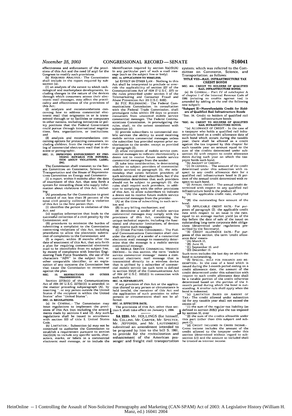Shall include in the report required by sub-<br>
shall include in the report required by sub-

nological and marketplace developments, in-<br>cluding changes in the nature of the devices the rules prescribed under section 3 of the of chapter 1 of the devices the rules prescribed under section 3 of the of chapter 1 of t

ing-<br>(A) procedures for the Commission to grant<br>**All messages** from 20 percent of the

submitting a complaint to the Commission that receive such messages.<br>concerning violations of this Act, including (C) OTHER FACTORS CONSIDERED. The Fed. scribed by the Secretary).<br>procedures to allow the electronic submitt

solvation different of this Act, that sets for the electronic mail message to reasonably deter-<br>
(2) a report, within if months after the electronic mail message to reasonably deter-<br>
(2) a report, within if months after t a plan for requiring commercial electronic<br>mail to be identifiable from its subject line,<br>by means of compliance with Internet Engi-<br>neering Task Force Standards, the use of the<br>characters "ADV" In the subject line, or

SEC. 12. TRASPASSIONS ON OTHER of 1930 (47 U.S.C. 332(d))) in connection with respect to such credit allowance date shall<br>Section 227(b)(l) of the Communications SEC. 15. SEPARABILITY.<br>Section 227(b)(l) of the Communicati Act of 1934 (47 U.S.C. 227(b)(l)) is amended, in The my provision of this Act or the applica-<br>the matter preceding subparagraph (A), by the on three for only person or circumstance is standing. A similar rule shall apply w

Let A **IN CENERAL.** The Commission may **SEC. 16. EFFECTIVE DATE.**<br>
Sue regulations to implement the provi- The provisions of this Act, other than sec-Sions of this Act (not including the amend-<br>ments made by sections 4 and 12). Any such<br>regulations shall the issued in accordance by section 35, over<br>with section 553 of title 5. United States Ms COLLINGS (for himself, "(2

Congress to modify such provisions. Sage (such as the subject line or body). Sage (such as the subject line or body). (b) REQUIRED ANALYSIS.- The Commission SEC. 14. APPLICATION TO WIRELESS.

Section (a)-<br>section (a)-<br>(1) an analysis of the extent to which tech-<br>ride the applicability of section 227 of the<br>(1) an analysis of the extent to which tech-<br>ride the applicability of section 227 of the<br>cluding changes

this Act:<br>
(b) analysis and recommendations con-<br>
(c) analysis and recommendations con-<br>
(c) analysis and recommendations con-<br>
(c) analysis and recommendations con-<br>
(c) analysis and recommendations con-<br>
ers of Qualified mitted through or to facilities or computers commercial messages. The Federal Commu- infrastructure bonds. in other nations, including initiatives or pa- ncetions Commission, in promulgating the **"SEC.** 54. CREDIT TO HOLDERS OF QUALIFIED icy positions that the Federal Government rules, shall, to the extent consistent with RAIL INFRASTRUCTURE **BONDS.**

**ING. ING. (3) EXECUTE INTO A CONSIDERATION CONSIDERATION THE CONSIDERATION THE COMMISSION Shall transmit to the Sen-** whether to subject providers of commercial "(I) IN CENERAL. The amount of the credit  $\frac{1}{$ ate Committee on Commerce, Science, and mobile services to paragraph (1), the rela-<br>Transportation and the House of Representa-<br>tives Committee on Energy and Commerce-<br>tives Committee on Energy and Commerce-<br>such services Figure 1) a report, within 9 months after the date Commission determines that such providers but if the qualified rail infrastructure bond is 25 per-<br>(1) a report, within 9 months after the date Commission determines that of enactment of this Act, that sets forth a should not be subject to paragraph (1), the spect to such bond.<br>system for rewarding those who supply inforce rules shall require such providers, in addi-<br>mation about violations The Small requires since providers, in addition to complying with the other provisions termined with respect to any qualified rail of this Act, to allow subscribers to indicate  $\frac{1}{\sqrt{A}}$  the applicable credit rate, mul

total civil penalty collected for a violation  $(A)$  at the time of subscribing to such serv-  $(B)$  the outstanding face amount of the of the outstanding face amount of the such serv-<br>of this Act to the first person that-<br>per

ny means of compliance with interfact digital DeFineD. In this section, the term mobile<br>neering Task Force Standards, the use of the service commercial message" means a com-<br>characters "ADV" in the subject line, or mercial nation of any concerns the Commission has that is utilized by a subscriber of commer-<br>that cause the Commission to recommend cial mobile service (as such term is defined uning the 3-month period ending on a<br>segural the pla **SEC. THE SEC. THE SECT ON OTHER OF THE CONDUCT CONSULTER ON OUTER ON OUTER ON OUTER DETAILS ON A winder of connection of any concerns the Commission has that is utilized by a subscriber of commertiat cause the Commission** 

**SEC. IN SECTION CONSULATIONS.** The computer of this Act and bond is redeemed.<br>
States if the reception is the computer of the splitted bond is redeemed.<br>
States' after "United States". **ISSENT CONSULATIONS**. SECTION AND S

With section 553 of title 5. United States Mr. COLLINS, Mr. CARPER, Mr. SPECTER, this part (other than this subpart and sub-<br>Code. (b) LIMITATION.- Subsection (a) may not be submitted an amendment intended to <sup>net C</sup>(d) CR construed co authorize the Commission to Cress income includes the amount of the establish a requirement pursuant to section be proposed **by** him to the bill **S. 1961,** credit allowed to the taxpayer under this to provide for the revitalization and section (eleremined without regard to sub-<br>enhancement of the American pas- section (e)) and the amount so included shall exters, marks, or labels in a commercial enhancement of the American pas-<br>electronic mail message, or to include the senger and freight rail transportation he treated as interest income.

effectiveness and enforcement of the provi- identification required by section 5(a)(5)(A) system; which was referred to the Com-<br>sions of this Act and the need (if any) for the in any particular part of such a mail mes- mi system, which was referred to the commertee (if any part of such a mail range of such a mail range of such a mail  $\frac{1}{n}$ 

**EC. 14. APPLICATION TO WIRELESS.**<br>(a) EFFECT ON OTHER LAW.- Nothing in this **TITLE VIII-RAIL INFRASTREUCTURE TAX**<br>**CREDIT BONDS** 

cutumng entailed assume that we are the current of the contract of the current of the internal Revenue Code of<br>through which consumers access their elec- Telemarketing and Consumer Fraud and of chapter 1 of the internal Re

could pursue through international negotia-<br>tions, fora, organizations, or institutions: (i) provide subscribers to commercial monother who holds a qualified rail infra-<br>tions, fora, organizations, or institutions: (i) pro From Controllent Controllent Controllent Commercial messages unless the distributions con-<br>
(3) analysis and recommendations con-<br>
(3) analysis and recommendations con-<br>
(3) analysis and recommendations con-<br>
(3) analysis cerning options for protecting consumers, in-<br>cluding children, from the receipt and view-<br>cluding children, from the receipt and view-<br>thorization to the sender, except as provided against the tax imposed by this chapter ing of commercial electronic mail that is ob-<br>scene or pornographic.<br>SEC 11. In the critical politic service compromises of the credits determined under sub-<br>SEC. 11. IMPROVING ENFORCEMENT BY PRO- mercial messages to indic VIDING REWARDS FOR INTERNATIONS: THE CONDUCTED TO THE SECTION TO THE SECTION THE SECTION TO THE CONDUCT THE CONDUCT ON THE CONDUCTED TON ABOUT VIOLATIONS; LABEL- commercial messages fo indicate electronically a section (b)

(i) identifies the person in violation of this  $(8)$  in any billing mechanism; and  $(9)$  expecting the person in violation of this  $(9)$  in any billing mechanism; and  $(1)$  expecting the commercial messages may comply wit

**Solution Comparable identifierrate** in each vary on much small position of the DSECIAL, RULE FOR ISSUANCE DIRECTLY DEMPTION, In the case of a bond which is issued during the 3-month period ending on a credit determined un

excess of-<br>interprovint the province regular tax liability (as<br>defined in section 26(b)) plus the tax imposed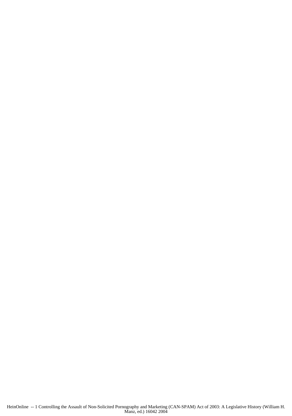HeinOnline -- 1 Controlling the Assault of Non-Solicited Pornography and Marketing (CAN-SPAM) Act of 2003: A Legislative History (William H. Manz, ed.) 16042 2004